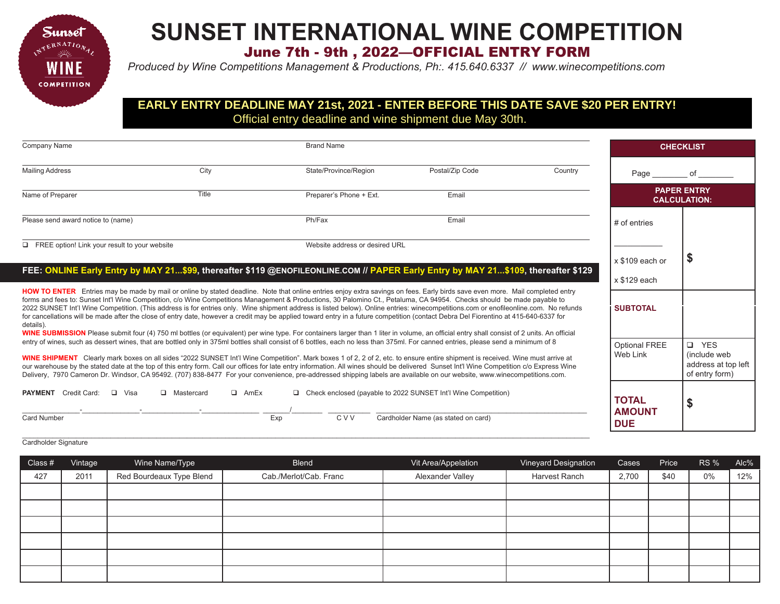

## **SUNSET INTERNATIONAL WINE COMPETITION** June 7th - 9th , 2022—OFFICIAL ENTRY FORM

*Produced by Wine Competitions Management & Productions, Ph:. 415.640.6337 // www.winecompetitions.com* 

## **EARLY ENTRY DEADLINE MAY 21st, 2021 - ENTER BEFORE THIS DATE SAVE \$20 PER ENTRY!**  Official entry deadline and wine shipment due May 30th.

| Company Name                                                                                                                                                                                                                                                                                                                                                                                                                                                                                                                                                                                                                                                                                                                                                                                                                                                                                                                                        |                             | <b>Brand Name</b>       |                                                                       |         | <b>CHECKLIST</b>                          |                                                                        |  |
|-----------------------------------------------------------------------------------------------------------------------------------------------------------------------------------------------------------------------------------------------------------------------------------------------------------------------------------------------------------------------------------------------------------------------------------------------------------------------------------------------------------------------------------------------------------------------------------------------------------------------------------------------------------------------------------------------------------------------------------------------------------------------------------------------------------------------------------------------------------------------------------------------------------------------------------------------------|-----------------------------|-------------------------|-----------------------------------------------------------------------|---------|-------------------------------------------|------------------------------------------------------------------------|--|
| <b>Mailing Address</b>                                                                                                                                                                                                                                                                                                                                                                                                                                                                                                                                                                                                                                                                                                                                                                                                                                                                                                                              | City                        | State/Province/Region   | Postal/Zip Code                                                       | Country | Page                                      | οf                                                                     |  |
| Name of Preparer                                                                                                                                                                                                                                                                                                                                                                                                                                                                                                                                                                                                                                                                                                                                                                                                                                                                                                                                    | Title                       | Preparer's Phone + Ext. | Email                                                                 |         | <b>PAPER ENTRY</b><br><b>CALCULATION:</b> |                                                                        |  |
| Please send award notice to (name)                                                                                                                                                                                                                                                                                                                                                                                                                                                                                                                                                                                                                                                                                                                                                                                                                                                                                                                  |                             | Ph/Fax                  | Email                                                                 |         | # of entries                              |                                                                        |  |
| $\Box$ FREE option! Link your result to your website<br>Website address or desired URL                                                                                                                                                                                                                                                                                                                                                                                                                                                                                                                                                                                                                                                                                                                                                                                                                                                              |                             |                         |                                                                       |         | x \$109 each or                           | -5                                                                     |  |
| FEE: ONLINE Early Entry by MAY 21\$99, thereafter \$119 @ENOFILEONLINE.COM // PAPER Early Entry by MAY 21\$109, thereafter \$129                                                                                                                                                                                                                                                                                                                                                                                                                                                                                                                                                                                                                                                                                                                                                                                                                    |                             |                         |                                                                       |         | x \$129 each                              |                                                                        |  |
| HOW TO ENTER Entries may be made by mail or online by stated deadline. Note that online entries enjoy extra savings on fees. Early birds save even more. Mail completed entry<br>forms and fees to: Sunset Int'l Wine Competition, c/o Wine Competitions Management & Productions, 30 Palomino Ct., Petaluma, CA 94954. Checks should be made payable to<br>2022 SUNSET Int'l Wine Competition. (This address is for entries only. Wine shipment address is listed below). Online entries: winecompetitions.com or enofileonline.com. No refunds<br>for cancellations will be made after the close of entry date, however a credit may be applied toward entry in a future competition (contact Debra Del Fiorentino at 415-640-6337 for<br>details).<br>WINE SUBMISSION Please submit four (4) 750 ml bottles (or equivalent) per wine type. For containers larger than 1 liter in volume, an official entry shall consist of 2 units. An official |                             |                         |                                                                       |         |                                           |                                                                        |  |
| entry of wines, such as dessert wines, that are bottled only in 375ml bottles shall consist of 6 bottles, each no less than 375ml. For canned entries, please send a minimum of 8<br>WINE SHIPMENT Clearly mark boxes on all sides "2022 SUNSET Int'l Wine Competition". Mark boxes 1 of 2, 2 of 2, etc. to ensure entire shipment is received. Wine must arrive at<br>our warehouse by the stated date at the top of this entry form. Call our offices for late entry information. All wines should be delivered Sunset Int'l Wine Competition c/o Express Wine<br>Delivery, 7970 Cameron Dr. Windsor, CA 95492. (707) 838-8477 For your convenience, pre-addressed shipping labels are available on our website, www.winecompetitions.com.                                                                                                                                                                                                        |                             |                         |                                                                       |         |                                           | <b>D</b> YES<br>(include web)<br>address at top left<br>of entry form) |  |
| <b>PAYMENT</b> Credit Card:<br>$\Box$<br>Visa                                                                                                                                                                                                                                                                                                                                                                                                                                                                                                                                                                                                                                                                                                                                                                                                                                                                                                       | □ Mastercard<br>$\Box$ AmEx |                         | $\Box$ Check enclosed (payable to 2022 SUNSET Int'l Wine Competition) |         | <b>TOTAL</b><br>\$                        |                                                                        |  |
| <b>Card Number</b>                                                                                                                                                                                                                                                                                                                                                                                                                                                                                                                                                                                                                                                                                                                                                                                                                                                                                                                                  |                             | Exp<br><b>CVV</b>       | Cardholder Name (as stated on card)                                   |         | <b>AMOUNT</b><br><b>DUE</b>               |                                                                        |  |

## Cardholder Signature

| Class # | Vintage | Wine Name/Type           | Blend                  | Vit Area/Appelation | Vineyard Designation | Cases | Price | RS %  | $Alc\%$ |
|---------|---------|--------------------------|------------------------|---------------------|----------------------|-------|-------|-------|---------|
| 427     | 2011    | Red Bourdeaux Type Blend | Cab./Merlot/Cab. Franc | Alexander Valley    | Harvest Ranch        | 2,700 | \$40  | $0\%$ | 12%     |
|         |         |                          |                        |                     |                      |       |       |       |         |
|         |         |                          |                        |                     |                      |       |       |       |         |
|         |         |                          |                        |                     |                      |       |       |       |         |
|         |         |                          |                        |                     |                      |       |       |       |         |
|         |         |                          |                        |                     |                      |       |       |       |         |
|         |         |                          |                        |                     |                      |       |       |       |         |